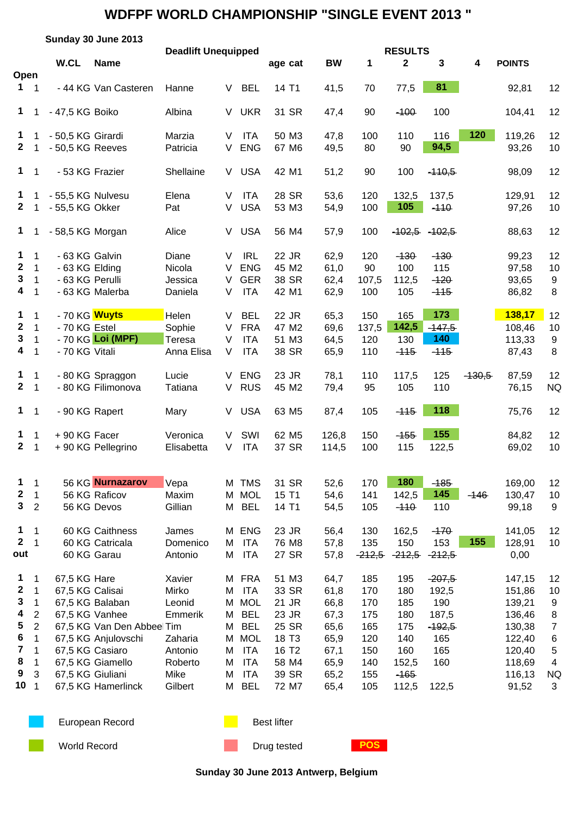|                                                                             | Sunday 30 June 2013                                                                     |                                                     |                                                                                                                                                     |                                                                                          |                            |                                                                                                                      |                                                                                                                |                                                                              |                                                                    |                                                                           |                                                                             |          |                                                                                                 |                                                                       |  |
|-----------------------------------------------------------------------------|-----------------------------------------------------------------------------------------|-----------------------------------------------------|-----------------------------------------------------------------------------------------------------------------------------------------------------|------------------------------------------------------------------------------------------|----------------------------|----------------------------------------------------------------------------------------------------------------------|----------------------------------------------------------------------------------------------------------------|------------------------------------------------------------------------------|--------------------------------------------------------------------|---------------------------------------------------------------------------|-----------------------------------------------------------------------------|----------|-------------------------------------------------------------------------------------------------|-----------------------------------------------------------------------|--|
| Open                                                                        |                                                                                         | W.CL                                                | <b>Name</b>                                                                                                                                         | <b>Deadlift Unequipped</b>                                                               |                            |                                                                                                                      | age cat                                                                                                        | <b>BW</b>                                                                    | 1                                                                  | <b>RESULTS</b><br>$\mathbf{2}$                                            | 3                                                                           | 4        | <b>POINTS</b>                                                                                   |                                                                       |  |
| $1 \quad 1$                                                                 |                                                                                         |                                                     | - 44 KG Van Casteren                                                                                                                                | Hanne                                                                                    | V                          | <b>BEL</b>                                                                                                           | 14 T1                                                                                                          | 41,5                                                                         | 70                                                                 | 77,5                                                                      | 81                                                                          |          | 92,81                                                                                           | 12                                                                    |  |
| $\mathbf 1$                                                                 |                                                                                         | - 47,5 KG Boiko                                     |                                                                                                                                                     | Albina                                                                                   |                            | V UKR                                                                                                                | 31 SR                                                                                                          | 47,4                                                                         | 90                                                                 | $-100$                                                                    | 100                                                                         |          | 104,41                                                                                          | 12                                                                    |  |
| 1<br>$\mathbf{2}$                                                           |                                                                                         | - 50,5 KG Girardi<br>- 50,5 KG Reeves               |                                                                                                                                                     | Marzia<br>Patricia                                                                       | V<br>V                     | <b>ITA</b><br><b>ENG</b>                                                                                             | 50 M3<br>67 M6                                                                                                 | 47,8<br>49,5                                                                 | 100<br>80                                                          | 110<br>90                                                                 | 116<br>94,5                                                                 | 120      | 119,26<br>93,26                                                                                 | 12<br>10                                                              |  |
| $\mathbf 1$                                                                 | $\overline{1}$                                                                          | - 53 KG Frazier                                     |                                                                                                                                                     | Shellaine                                                                                |                            | V USA                                                                                                                | 42 M1                                                                                                          | 51,2                                                                         | 90                                                                 | 100                                                                       | $-110,5$                                                                    |          | 98,09                                                                                           | 12                                                                    |  |
| $\mathbf{1}$<br>$\mathbf{2}$                                                |                                                                                         | - 55,5 KG Nulvesu<br>- 55,5 KG Okker                |                                                                                                                                                     | Elena<br>Pat                                                                             | V<br>V                     | <b>ITA</b><br><b>USA</b>                                                                                             | 28 SR<br>53 M3                                                                                                 | 53,6<br>54,9                                                                 | 120<br>100                                                         | 132,5<br>105                                                              | 137,5<br>$-110$                                                             |          | 129,91<br>97,26                                                                                 | 12<br>10                                                              |  |
| $\mathbf 1$                                                                 | 1                                                                                       | - 58,5 KG Morgan                                    |                                                                                                                                                     | Alice                                                                                    | V.                         | <b>USA</b>                                                                                                           | 56 M4                                                                                                          | 57,9                                                                         | 100                                                                | $-102,5$                                                                  | $-102.5$                                                                    |          | 88,63                                                                                           | 12                                                                    |  |
| 1<br>$\mathbf{2}$<br>3<br>4                                                 | $\mathbf{1}$<br>$\mathbf{1}$<br>$\mathbf{1}$<br>1                                       | - 63 KG Galvin<br>- 63 KG Elding<br>- 63 KG Perulli | - 63 KG Malerba                                                                                                                                     | Diane<br>Nicola<br>Jessica<br>Daniela                                                    | V<br>V<br>V<br>V           | <b>IRL</b><br><b>ENG</b><br><b>GER</b><br><b>ITA</b>                                                                 | 22 JR<br>45 M2<br>38 SR<br>42 M1                                                                               | 62,9<br>61,0<br>62,4<br>62,9                                                 | 120<br>90<br>107,5<br>100                                          | $-130$<br>100<br>112,5<br>105                                             | $-130$<br>115<br>$-120$<br>$-115$                                           |          | 99,23<br>97,58<br>93,65<br>86,82                                                                | 12<br>10<br>9<br>8                                                    |  |
| 1<br>$\mathbf{2}$<br>3<br>4                                                 | $\mathbf{1}$<br>1<br>$\mathbf 1$<br>1                                                   | - 70 KG Wuyts<br>- 70 KG Estel<br>- 70 KG Vitali    | - 70 KG Loi (MPF)                                                                                                                                   | Helen<br>Sophie<br>Teresa<br>Anna Elisa                                                  | V<br>V<br>$\vee$<br>V      | <b>BEL</b><br><b>FRA</b><br><b>ITA</b><br><b>ITA</b>                                                                 | 22 JR<br>47 M2<br>51 M3<br>38 SR                                                                               | 65,3<br>69,6<br>64,5<br>65,9                                                 | 150<br>137,5<br>120<br>110                                         | 165<br>142,5<br>130<br>$-115$                                             | 173<br>$-147,5$<br>140<br>$-115$                                            |          | 138,17<br>108,46<br>113,33<br>87,43                                                             | 12<br>10<br>9<br>8                                                    |  |
| $\mathbf{1}$<br>$\mathbf{2}$                                                | 1<br>$\mathbf{1}$                                                                       |                                                     | - 80 KG Spraggon<br>- 80 KG Filimonova                                                                                                              | Lucie<br>Tatiana                                                                         | V<br>V.                    | <b>ENG</b><br><b>RUS</b>                                                                                             | 23 JR<br>45 M2                                                                                                 | 78,1<br>79,4                                                                 | 110<br>95                                                          | 117,5<br>105                                                              | 125<br>110                                                                  | $-130,5$ | 87,59<br>76,15                                                                                  | 12<br><b>NQ</b>                                                       |  |
| $1 \quad 1$                                                                 |                                                                                         | - 90 KG Rapert                                      |                                                                                                                                                     | Mary                                                                                     | V.                         | <b>USA</b>                                                                                                           | 63 M <sub>5</sub>                                                                                              | 87,4                                                                         | 105                                                                | $-115$                                                                    | 118                                                                         |          | 75,76                                                                                           | 12                                                                    |  |
| $\mathbf 1$<br>$\mathbf{2}$                                                 | $\mathbf 1$<br>$\overline{1}$                                                           | +90 KG Facer                                        | +90 KG Pellegrino                                                                                                                                   | Veronica<br>Elisabetta                                                                   | V<br>V                     | SWI<br><b>ITA</b>                                                                                                    | 62 M <sub>5</sub><br>37 SR                                                                                     | 126,8<br>114,5                                                               | 150<br>100                                                         | $-155$<br>115                                                             | 155<br>122,5                                                                |          | 84,82<br>69,02                                                                                  | 12<br>10                                                              |  |
| 1<br>$\boldsymbol{2}$<br>$\mathbf{3}$                                       | $\mathbf{1}$<br>1<br>$\overline{2}$                                                     |                                                     | 56 KG Nurnazarov<br>56 KG Raficov<br>56 KG Devos                                                                                                    | Vepa<br>Maxim<br>Gillian                                                                 |                            | M TMS<br>M MOL<br>M BEL                                                                                              | 31 SR<br>15 T1<br>14 T1                                                                                        | 52,6<br>54,6<br>54,5                                                         | 170<br>141<br>105                                                  | 180<br>142,5<br>$-110$                                                    | $-185$<br>145<br>110                                                        | $-146$   | 169,00<br>130,47<br>99,18                                                                       | 12<br>10<br>9                                                         |  |
| $\mathbf 1$<br>$\mathbf{2}$<br>out                                          | 1<br>$\mathbf{1}$                                                                       |                                                     | 60 KG Caithness<br>60 KG Catricala<br>60 KG Garau                                                                                                   | James<br>Domenico<br>Antonio                                                             | M<br>M                     | M ENG<br><b>ITA</b><br><b>ITA</b>                                                                                    | 23 JR<br>76 M8<br>27 SR                                                                                        | 56,4<br>57,8<br>57,8                                                         | 130<br>135<br>$-212,5$                                             | 162,5<br>150<br>$-212,5$                                                  | $-170$<br>153<br>$-212,5$                                                   | 155      | 141,05<br>128,91<br>0,00                                                                        | 12<br>10                                                              |  |
| 1<br>$\boldsymbol{2}$<br>3<br>4<br>5<br>6<br>7<br>8<br>9<br>10 <sub>1</sub> | 1<br>1<br>$\mathbf 1$<br>$\overline{c}$<br>$\overline{c}$<br>$\mathbf 1$<br>1<br>1<br>3 | 67,5 KG Hare<br>67,5 KG Calisai<br>67,5 KG Giuliani | 67,5 KG Balaban<br>67,5 KG Vanhee<br>67,5 KG Van Den Abbeel Tim<br>67,5 KG Anjulovschi<br>67,5 KG Casiaro<br>67,5 KG Giamello<br>67,5 KG Hamerlinck | Xavier<br>Mirko<br>Leonid<br>Emmerik<br>Zaharia<br>Antonio<br>Roberto<br>Mike<br>Gilbert | М<br>M<br>М<br>М<br>М<br>M | M FRA<br><b>ITA</b><br>M MOL<br><b>BEL</b><br><b>BEL</b><br>M MOL<br><b>ITA</b><br><b>ITA</b><br><b>ITA</b><br>M BEL | 51 M3<br>33 SR<br>21 JR<br>23 JR<br>25 SR<br>18 T <sub>3</sub><br>16 T <sub>2</sub><br>58 M4<br>39 SR<br>72 M7 | 64,7<br>61,8<br>66,8<br>67,3<br>65,6<br>65,9<br>67,1<br>65,9<br>65,2<br>65,4 | 185<br>170<br>170<br>175<br>165<br>120<br>150<br>140<br>155<br>105 | 195<br>180<br>185<br>180<br>175<br>140<br>160<br>152,5<br>$-165$<br>112,5 | $-207,5$<br>192,5<br>190<br>187,5<br>$-192,5$<br>165<br>165<br>160<br>122,5 |          | 147,15<br>151,86<br>139,21<br>136,46<br>130,38<br>122,40<br>120,40<br>118,69<br>116,13<br>91,52 | 12<br>10<br>9<br>8<br>$\overline{7}$<br>6<br>5<br>4<br><b>NQ</b><br>3 |  |



European Record **Best lifter** Best lifter

World Record **Drug tested POS** 

**Sunday 30 June 2013 Antwerp, Belgium**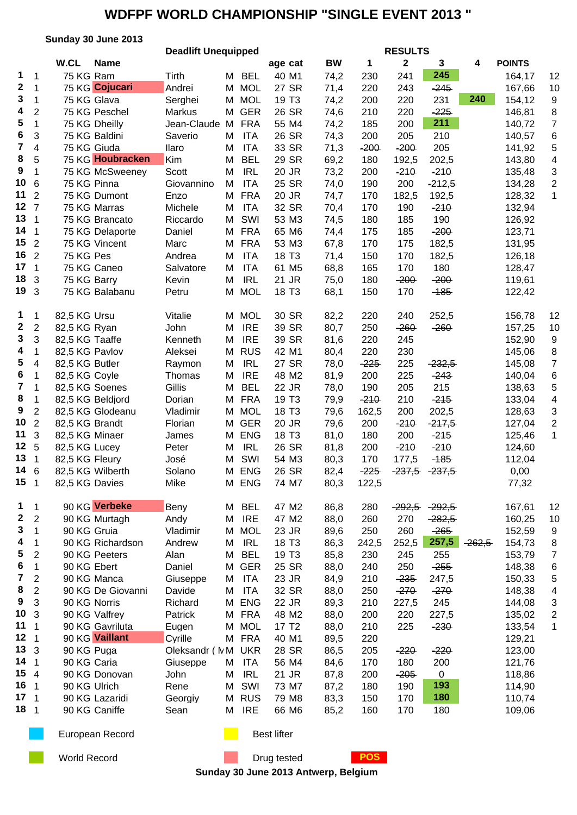|                 | Sunday 30 June 2013                                                                                                                                                                                                                                                                                                                                                                                                                                                                                                                                                                               |                                                                                                                                                                                                                                                                                                                                                                                                                                                                                                                                                                                                                                                                                                                                                                                                                                                                                                                          |                                                                                                                                                                                                                                                                                                                                                                                                                                                                                   |                                                                                                                                                                                                                                                                           |                                                                                                                                                                                                                                                                                                                                                                                                                                                                                                                                                                                                                                                                                                                                              |                                                                                                                                                                                                                                                                                                                                                                                                                                                                                                                                                                                                                   |                                                                                                                                                                                                                                                                                                                                                                                                                           |                                                                                                                                                                                                                                                                                                                                                                                 |                                                                                                                                                                                                                                                                                                                                                                                                                      |                                                                                                                                                                                                                                                                                                                                                                                                                                                                         |                      |                                                                                                                                                                                                                                                                                                                                                                                                                                                                                                                                 |
|-----------------|---------------------------------------------------------------------------------------------------------------------------------------------------------------------------------------------------------------------------------------------------------------------------------------------------------------------------------------------------------------------------------------------------------------------------------------------------------------------------------------------------------------------------------------------------------------------------------------------------|--------------------------------------------------------------------------------------------------------------------------------------------------------------------------------------------------------------------------------------------------------------------------------------------------------------------------------------------------------------------------------------------------------------------------------------------------------------------------------------------------------------------------------------------------------------------------------------------------------------------------------------------------------------------------------------------------------------------------------------------------------------------------------------------------------------------------------------------------------------------------------------------------------------------------|-----------------------------------------------------------------------------------------------------------------------------------------------------------------------------------------------------------------------------------------------------------------------------------------------------------------------------------------------------------------------------------------------------------------------------------------------------------------------------------|---------------------------------------------------------------------------------------------------------------------------------------------------------------------------------------------------------------------------------------------------------------------------|----------------------------------------------------------------------------------------------------------------------------------------------------------------------------------------------------------------------------------------------------------------------------------------------------------------------------------------------------------------------------------------------------------------------------------------------------------------------------------------------------------------------------------------------------------------------------------------------------------------------------------------------------------------------------------------------------------------------------------------------|-------------------------------------------------------------------------------------------------------------------------------------------------------------------------------------------------------------------------------------------------------------------------------------------------------------------------------------------------------------------------------------------------------------------------------------------------------------------------------------------------------------------------------------------------------------------------------------------------------------------|---------------------------------------------------------------------------------------------------------------------------------------------------------------------------------------------------------------------------------------------------------------------------------------------------------------------------------------------------------------------------------------------------------------------------|---------------------------------------------------------------------------------------------------------------------------------------------------------------------------------------------------------------------------------------------------------------------------------------------------------------------------------------------------------------------------------|----------------------------------------------------------------------------------------------------------------------------------------------------------------------------------------------------------------------------------------------------------------------------------------------------------------------------------------------------------------------------------------------------------------------|-------------------------------------------------------------------------------------------------------------------------------------------------------------------------------------------------------------------------------------------------------------------------------------------------------------------------------------------------------------------------------------------------------------------------------------------------------------------------|----------------------|---------------------------------------------------------------------------------------------------------------------------------------------------------------------------------------------------------------------------------------------------------------------------------------------------------------------------------------------------------------------------------------------------------------------------------------------------------------------------------------------------------------------------------|
|                 |                                                                                                                                                                                                                                                                                                                                                                                                                                                                                                                                                                                                   |                                                                                                                                                                                                                                                                                                                                                                                                                                                                                                                                                                                                                                                                                                                                                                                                                                                                                                                          |                                                                                                                                                                                                                                                                                                                                                                                                                                                                                   |                                                                                                                                                                                                                                                                           |                                                                                                                                                                                                                                                                                                                                                                                                                                                                                                                                                                                                                                                                                                                                              |                                                                                                                                                                                                                                                                                                                                                                                                                                                                                                                                                                                                                   |                                                                                                                                                                                                                                                                                                                                                                                                                           |                                                                                                                                                                                                                                                                                                                                                                                 |                                                                                                                                                                                                                                                                                                                                                                                                                      |                                                                                                                                                                                                                                                                                                                                                                                                                                                                         |                      |                                                                                                                                                                                                                                                                                                                                                                                                                                                                                                                                 |
|                 |                                                                                                                                                                                                                                                                                                                                                                                                                                                                                                                                                                                                   |                                                                                                                                                                                                                                                                                                                                                                                                                                                                                                                                                                                                                                                                                                                                                                                                                                                                                                                          |                                                                                                                                                                                                                                                                                                                                                                                                                                                                                   |                                                                                                                                                                                                                                                                           |                                                                                                                                                                                                                                                                                                                                                                                                                                                                                                                                                                                                                                                                                                                                              |                                                                                                                                                                                                                                                                                                                                                                                                                                                                                                                                                                                                                   |                                                                                                                                                                                                                                                                                                                                                                                                                           |                                                                                                                                                                                                                                                                                                                                                                                 |                                                                                                                                                                                                                                                                                                                                                                                                                      |                                                                                                                                                                                                                                                                                                                                                                                                                                                                         |                      |                                                                                                                                                                                                                                                                                                                                                                                                                                                                                                                                 |
|                 |                                                                                                                                                                                                                                                                                                                                                                                                                                                                                                                                                                                                   |                                                                                                                                                                                                                                                                                                                                                                                                                                                                                                                                                                                                                                                                                                                                                                                                                                                                                                                          |                                                                                                                                                                                                                                                                                                                                                                                                                                                                                   |                                                                                                                                                                                                                                                                           |                                                                                                                                                                                                                                                                                                                                                                                                                                                                                                                                                                                                                                                                                                                                              |                                                                                                                                                                                                                                                                                                                                                                                                                                                                                                                                                                                                                   |                                                                                                                                                                                                                                                                                                                                                                                                                           |                                                                                                                                                                                                                                                                                                                                                                                 |                                                                                                                                                                                                                                                                                                                                                                                                                      |                                                                                                                                                                                                                                                                                                                                                                                                                                                                         |                      | 12                                                                                                                                                                                                                                                                                                                                                                                                                                                                                                                              |
|                 |                                                                                                                                                                                                                                                                                                                                                                                                                                                                                                                                                                                                   |                                                                                                                                                                                                                                                                                                                                                                                                                                                                                                                                                                                                                                                                                                                                                                                                                                                                                                                          |                                                                                                                                                                                                                                                                                                                                                                                                                                                                                   |                                                                                                                                                                                                                                                                           |                                                                                                                                                                                                                                                                                                                                                                                                                                                                                                                                                                                                                                                                                                                                              |                                                                                                                                                                                                                                                                                                                                                                                                                                                                                                                                                                                                                   |                                                                                                                                                                                                                                                                                                                                                                                                                           |                                                                                                                                                                                                                                                                                                                                                                                 |                                                                                                                                                                                                                                                                                                                                                                                                                      |                                                                                                                                                                                                                                                                                                                                                                                                                                                                         |                      | 10                                                                                                                                                                                                                                                                                                                                                                                                                                                                                                                              |
|                 |                                                                                                                                                                                                                                                                                                                                                                                                                                                                                                                                                                                                   |                                                                                                                                                                                                                                                                                                                                                                                                                                                                                                                                                                                                                                                                                                                                                                                                                                                                                                                          |                                                                                                                                                                                                                                                                                                                                                                                                                                                                                   |                                                                                                                                                                                                                                                                           |                                                                                                                                                                                                                                                                                                                                                                                                                                                                                                                                                                                                                                                                                                                                              |                                                                                                                                                                                                                                                                                                                                                                                                                                                                                                                                                                                                                   |                                                                                                                                                                                                                                                                                                                                                                                                                           |                                                                                                                                                                                                                                                                                                                                                                                 |                                                                                                                                                                                                                                                                                                                                                                                                                      |                                                                                                                                                                                                                                                                                                                                                                                                                                                                         |                      | 9                                                                                                                                                                                                                                                                                                                                                                                                                                                                                                                               |
|                 |                                                                                                                                                                                                                                                                                                                                                                                                                                                                                                                                                                                                   |                                                                                                                                                                                                                                                                                                                                                                                                                                                                                                                                                                                                                                                                                                                                                                                                                                                                                                                          |                                                                                                                                                                                                                                                                                                                                                                                                                                                                                   |                                                                                                                                                                                                                                                                           |                                                                                                                                                                                                                                                                                                                                                                                                                                                                                                                                                                                                                                                                                                                                              |                                                                                                                                                                                                                                                                                                                                                                                                                                                                                                                                                                                                                   |                                                                                                                                                                                                                                                                                                                                                                                                                           |                                                                                                                                                                                                                                                                                                                                                                                 |                                                                                                                                                                                                                                                                                                                                                                                                                      |                                                                                                                                                                                                                                                                                                                                                                                                                                                                         |                      | 8                                                                                                                                                                                                                                                                                                                                                                                                                                                                                                                               |
|                 |                                                                                                                                                                                                                                                                                                                                                                                                                                                                                                                                                                                                   |                                                                                                                                                                                                                                                                                                                                                                                                                                                                                                                                                                                                                                                                                                                                                                                                                                                                                                                          |                                                                                                                                                                                                                                                                                                                                                                                                                                                                                   |                                                                                                                                                                                                                                                                           |                                                                                                                                                                                                                                                                                                                                                                                                                                                                                                                                                                                                                                                                                                                                              |                                                                                                                                                                                                                                                                                                                                                                                                                                                                                                                                                                                                                   |                                                                                                                                                                                                                                                                                                                                                                                                                           |                                                                                                                                                                                                                                                                                                                                                                                 |                                                                                                                                                                                                                                                                                                                                                                                                                      |                                                                                                                                                                                                                                                                                                                                                                                                                                                                         |                      | $\overline{7}$                                                                                                                                                                                                                                                                                                                                                                                                                                                                                                                  |
|                 |                                                                                                                                                                                                                                                                                                                                                                                                                                                                                                                                                                                                   |                                                                                                                                                                                                                                                                                                                                                                                                                                                                                                                                                                                                                                                                                                                                                                                                                                                                                                                          |                                                                                                                                                                                                                                                                                                                                                                                                                                                                                   |                                                                                                                                                                                                                                                                           |                                                                                                                                                                                                                                                                                                                                                                                                                                                                                                                                                                                                                                                                                                                                              |                                                                                                                                                                                                                                                                                                                                                                                                                                                                                                                                                                                                                   |                                                                                                                                                                                                                                                                                                                                                                                                                           |                                                                                                                                                                                                                                                                                                                                                                                 |                                                                                                                                                                                                                                                                                                                                                                                                                      |                                                                                                                                                                                                                                                                                                                                                                                                                                                                         |                      | 6                                                                                                                                                                                                                                                                                                                                                                                                                                                                                                                               |
|                 |                                                                                                                                                                                                                                                                                                                                                                                                                                                                                                                                                                                                   |                                                                                                                                                                                                                                                                                                                                                                                                                                                                                                                                                                                                                                                                                                                                                                                                                                                                                                                          |                                                                                                                                                                                                                                                                                                                                                                                                                                                                                   |                                                                                                                                                                                                                                                                           |                                                                                                                                                                                                                                                                                                                                                                                                                                                                                                                                                                                                                                                                                                                                              |                                                                                                                                                                                                                                                                                                                                                                                                                                                                                                                                                                                                                   |                                                                                                                                                                                                                                                                                                                                                                                                                           |                                                                                                                                                                                                                                                                                                                                                                                 |                                                                                                                                                                                                                                                                                                                                                                                                                      |                                                                                                                                                                                                                                                                                                                                                                                                                                                                         |                      | 5                                                                                                                                                                                                                                                                                                                                                                                                                                                                                                                               |
|                 |                                                                                                                                                                                                                                                                                                                                                                                                                                                                                                                                                                                                   |                                                                                                                                                                                                                                                                                                                                                                                                                                                                                                                                                                                                                                                                                                                                                                                                                                                                                                                          |                                                                                                                                                                                                                                                                                                                                                                                                                                                                                   |                                                                                                                                                                                                                                                                           |                                                                                                                                                                                                                                                                                                                                                                                                                                                                                                                                                                                                                                                                                                                                              |                                                                                                                                                                                                                                                                                                                                                                                                                                                                                                                                                                                                                   |                                                                                                                                                                                                                                                                                                                                                                                                                           |                                                                                                                                                                                                                                                                                                                                                                                 |                                                                                                                                                                                                                                                                                                                                                                                                                      |                                                                                                                                                                                                                                                                                                                                                                                                                                                                         |                      | 4                                                                                                                                                                                                                                                                                                                                                                                                                                                                                                                               |
|                 |                                                                                                                                                                                                                                                                                                                                                                                                                                                                                                                                                                                                   |                                                                                                                                                                                                                                                                                                                                                                                                                                                                                                                                                                                                                                                                                                                                                                                                                                                                                                                          |                                                                                                                                                                                                                                                                                                                                                                                                                                                                                   |                                                                                                                                                                                                                                                                           |                                                                                                                                                                                                                                                                                                                                                                                                                                                                                                                                                                                                                                                                                                                                              |                                                                                                                                                                                                                                                                                                                                                                                                                                                                                                                                                                                                                   |                                                                                                                                                                                                                                                                                                                                                                                                                           |                                                                                                                                                                                                                                                                                                                                                                                 |                                                                                                                                                                                                                                                                                                                                                                                                                      |                                                                                                                                                                                                                                                                                                                                                                                                                                                                         |                      | 3                                                                                                                                                                                                                                                                                                                                                                                                                                                                                                                               |
|                 |                                                                                                                                                                                                                                                                                                                                                                                                                                                                                                                                                                                                   |                                                                                                                                                                                                                                                                                                                                                                                                                                                                                                                                                                                                                                                                                                                                                                                                                                                                                                                          |                                                                                                                                                                                                                                                                                                                                                                                                                                                                                   |                                                                                                                                                                                                                                                                           |                                                                                                                                                                                                                                                                                                                                                                                                                                                                                                                                                                                                                                                                                                                                              |                                                                                                                                                                                                                                                                                                                                                                                                                                                                                                                                                                                                                   |                                                                                                                                                                                                                                                                                                                                                                                                                           |                                                                                                                                                                                                                                                                                                                                                                                 |                                                                                                                                                                                                                                                                                                                                                                                                                      |                                                                                                                                                                                                                                                                                                                                                                                                                                                                         |                      | $\overline{c}$                                                                                                                                                                                                                                                                                                                                                                                                                                                                                                                  |
|                 |                                                                                                                                                                                                                                                                                                                                                                                                                                                                                                                                                                                                   |                                                                                                                                                                                                                                                                                                                                                                                                                                                                                                                                                                                                                                                                                                                                                                                                                                                                                                                          |                                                                                                                                                                                                                                                                                                                                                                                                                                                                                   |                                                                                                                                                                                                                                                                           |                                                                                                                                                                                                                                                                                                                                                                                                                                                                                                                                                                                                                                                                                                                                              |                                                                                                                                                                                                                                                                                                                                                                                                                                                                                                                                                                                                                   |                                                                                                                                                                                                                                                                                                                                                                                                                           |                                                                                                                                                                                                                                                                                                                                                                                 |                                                                                                                                                                                                                                                                                                                                                                                                                      |                                                                                                                                                                                                                                                                                                                                                                                                                                                                         |                      | 1                                                                                                                                                                                                                                                                                                                                                                                                                                                                                                                               |
|                 |                                                                                                                                                                                                                                                                                                                                                                                                                                                                                                                                                                                                   |                                                                                                                                                                                                                                                                                                                                                                                                                                                                                                                                                                                                                                                                                                                                                                                                                                                                                                                          |                                                                                                                                                                                                                                                                                                                                                                                                                                                                                   |                                                                                                                                                                                                                                                                           |                                                                                                                                                                                                                                                                                                                                                                                                                                                                                                                                                                                                                                                                                                                                              |                                                                                                                                                                                                                                                                                                                                                                                                                                                                                                                                                                                                                   |                                                                                                                                                                                                                                                                                                                                                                                                                           |                                                                                                                                                                                                                                                                                                                                                                                 |                                                                                                                                                                                                                                                                                                                                                                                                                      |                                                                                                                                                                                                                                                                                                                                                                                                                                                                         |                      |                                                                                                                                                                                                                                                                                                                                                                                                                                                                                                                                 |
|                 |                                                                                                                                                                                                                                                                                                                                                                                                                                                                                                                                                                                                   |                                                                                                                                                                                                                                                                                                                                                                                                                                                                                                                                                                                                                                                                                                                                                                                                                                                                                                                          |                                                                                                                                                                                                                                                                                                                                                                                                                                                                                   |                                                                                                                                                                                                                                                                           |                                                                                                                                                                                                                                                                                                                                                                                                                                                                                                                                                                                                                                                                                                                                              |                                                                                                                                                                                                                                                                                                                                                                                                                                                                                                                                                                                                                   |                                                                                                                                                                                                                                                                                                                                                                                                                           |                                                                                                                                                                                                                                                                                                                                                                                 |                                                                                                                                                                                                                                                                                                                                                                                                                      |                                                                                                                                                                                                                                                                                                                                                                                                                                                                         |                      |                                                                                                                                                                                                                                                                                                                                                                                                                                                                                                                                 |
|                 |                                                                                                                                                                                                                                                                                                                                                                                                                                                                                                                                                                                                   |                                                                                                                                                                                                                                                                                                                                                                                                                                                                                                                                                                                                                                                                                                                                                                                                                                                                                                                          |                                                                                                                                                                                                                                                                                                                                                                                                                                                                                   |                                                                                                                                                                                                                                                                           |                                                                                                                                                                                                                                                                                                                                                                                                                                                                                                                                                                                                                                                                                                                                              |                                                                                                                                                                                                                                                                                                                                                                                                                                                                                                                                                                                                                   |                                                                                                                                                                                                                                                                                                                                                                                                                           |                                                                                                                                                                                                                                                                                                                                                                                 |                                                                                                                                                                                                                                                                                                                                                                                                                      |                                                                                                                                                                                                                                                                                                                                                                                                                                                                         |                      |                                                                                                                                                                                                                                                                                                                                                                                                                                                                                                                                 |
|                 |                                                                                                                                                                                                                                                                                                                                                                                                                                                                                                                                                                                                   |                                                                                                                                                                                                                                                                                                                                                                                                                                                                                                                                                                                                                                                                                                                                                                                                                                                                                                                          |                                                                                                                                                                                                                                                                                                                                                                                                                                                                                   |                                                                                                                                                                                                                                                                           |                                                                                                                                                                                                                                                                                                                                                                                                                                                                                                                                                                                                                                                                                                                                              |                                                                                                                                                                                                                                                                                                                                                                                                                                                                                                                                                                                                                   |                                                                                                                                                                                                                                                                                                                                                                                                                           |                                                                                                                                                                                                                                                                                                                                                                                 |                                                                                                                                                                                                                                                                                                                                                                                                                      |                                                                                                                                                                                                                                                                                                                                                                                                                                                                         |                      |                                                                                                                                                                                                                                                                                                                                                                                                                                                                                                                                 |
|                 |                                                                                                                                                                                                                                                                                                                                                                                                                                                                                                                                                                                                   |                                                                                                                                                                                                                                                                                                                                                                                                                                                                                                                                                                                                                                                                                                                                                                                                                                                                                                                          |                                                                                                                                                                                                                                                                                                                                                                                                                                                                                   |                                                                                                                                                                                                                                                                           |                                                                                                                                                                                                                                                                                                                                                                                                                                                                                                                                                                                                                                                                                                                                              |                                                                                                                                                                                                                                                                                                                                                                                                                                                                                                                                                                                                                   |                                                                                                                                                                                                                                                                                                                                                                                                                           |                                                                                                                                                                                                                                                                                                                                                                                 |                                                                                                                                                                                                                                                                                                                                                                                                                      |                                                                                                                                                                                                                                                                                                                                                                                                                                                                         |                      |                                                                                                                                                                                                                                                                                                                                                                                                                                                                                                                                 |
|                 |                                                                                                                                                                                                                                                                                                                                                                                                                                                                                                                                                                                                   |                                                                                                                                                                                                                                                                                                                                                                                                                                                                                                                                                                                                                                                                                                                                                                                                                                                                                                                          |                                                                                                                                                                                                                                                                                                                                                                                                                                                                                   |                                                                                                                                                                                                                                                                           |                                                                                                                                                                                                                                                                                                                                                                                                                                                                                                                                                                                                                                                                                                                                              |                                                                                                                                                                                                                                                                                                                                                                                                                                                                                                                                                                                                                   |                                                                                                                                                                                                                                                                                                                                                                                                                           |                                                                                                                                                                                                                                                                                                                                                                                 |                                                                                                                                                                                                                                                                                                                                                                                                                      |                                                                                                                                                                                                                                                                                                                                                                                                                                                                         |                      |                                                                                                                                                                                                                                                                                                                                                                                                                                                                                                                                 |
|                 |                                                                                                                                                                                                                                                                                                                                                                                                                                                                                                                                                                                                   | Kevin                                                                                                                                                                                                                                                                                                                                                                                                                                                                                                                                                                                                                                                                                                                                                                                                                                                                                                                    |                                                                                                                                                                                                                                                                                                                                                                                                                                                                                   |                                                                                                                                                                                                                                                                           |                                                                                                                                                                                                                                                                                                                                                                                                                                                                                                                                                                                                                                                                                                                                              |                                                                                                                                                                                                                                                                                                                                                                                                                                                                                                                                                                                                                   |                                                                                                                                                                                                                                                                                                                                                                                                                           |                                                                                                                                                                                                                                                                                                                                                                                 |                                                                                                                                                                                                                                                                                                                                                                                                                      |                                                                                                                                                                                                                                                                                                                                                                                                                                                                         |                      |                                                                                                                                                                                                                                                                                                                                                                                                                                                                                                                                 |
|                 |                                                                                                                                                                                                                                                                                                                                                                                                                                                                                                                                                                                                   | Petru                                                                                                                                                                                                                                                                                                                                                                                                                                                                                                                                                                                                                                                                                                                                                                                                                                                                                                                    | Μ                                                                                                                                                                                                                                                                                                                                                                                                                                                                                 |                                                                                                                                                                                                                                                                           |                                                                                                                                                                                                                                                                                                                                                                                                                                                                                                                                                                                                                                                                                                                                              | 68,1                                                                                                                                                                                                                                                                                                                                                                                                                                                                                                                                                                                                              | 150                                                                                                                                                                                                                                                                                                                                                                                                                       | 170                                                                                                                                                                                                                                                                                                                                                                             | $-185$                                                                                                                                                                                                                                                                                                                                                                                                               |                                                                                                                                                                                                                                                                                                                                                                                                                                                                         | 122,42               |                                                                                                                                                                                                                                                                                                                                                                                                                                                                                                                                 |
| $\mathbf{1}$    |                                                                                                                                                                                                                                                                                                                                                                                                                                                                                                                                                                                                   |                                                                                                                                                                                                                                                                                                                                                                                                                                                                                                                                                                                                                                                                                                                                                                                                                                                                                                                          |                                                                                                                                                                                                                                                                                                                                                                                                                                                                                   |                                                                                                                                                                                                                                                                           |                                                                                                                                                                                                                                                                                                                                                                                                                                                                                                                                                                                                                                                                                                                                              |                                                                                                                                                                                                                                                                                                                                                                                                                                                                                                                                                                                                                   |                                                                                                                                                                                                                                                                                                                                                                                                                           |                                                                                                                                                                                                                                                                                                                                                                                 |                                                                                                                                                                                                                                                                                                                                                                                                                      |                                                                                                                                                                                                                                                                                                                                                                                                                                                                         |                      | 12                                                                                                                                                                                                                                                                                                                                                                                                                                                                                                                              |
|                 |                                                                                                                                                                                                                                                                                                                                                                                                                                                                                                                                                                                                   |                                                                                                                                                                                                                                                                                                                                                                                                                                                                                                                                                                                                                                                                                                                                                                                                                                                                                                                          |                                                                                                                                                                                                                                                                                                                                                                                                                                                                                   |                                                                                                                                                                                                                                                                           |                                                                                                                                                                                                                                                                                                                                                                                                                                                                                                                                                                                                                                                                                                                                              |                                                                                                                                                                                                                                                                                                                                                                                                                                                                                                                                                                                                                   |                                                                                                                                                                                                                                                                                                                                                                                                                           |                                                                                                                                                                                                                                                                                                                                                                                 |                                                                                                                                                                                                                                                                                                                                                                                                                      |                                                                                                                                                                                                                                                                                                                                                                                                                                                                         |                      | 10                                                                                                                                                                                                                                                                                                                                                                                                                                                                                                                              |
|                 |                                                                                                                                                                                                                                                                                                                                                                                                                                                                                                                                                                                                   |                                                                                                                                                                                                                                                                                                                                                                                                                                                                                                                                                                                                                                                                                                                                                                                                                                                                                                                          |                                                                                                                                                                                                                                                                                                                                                                                                                                                                                   |                                                                                                                                                                                                                                                                           |                                                                                                                                                                                                                                                                                                                                                                                                                                                                                                                                                                                                                                                                                                                                              |                                                                                                                                                                                                                                                                                                                                                                                                                                                                                                                                                                                                                   |                                                                                                                                                                                                                                                                                                                                                                                                                           |                                                                                                                                                                                                                                                                                                                                                                                 |                                                                                                                                                                                                                                                                                                                                                                                                                      |                                                                                                                                                                                                                                                                                                                                                                                                                                                                         |                      | 9                                                                                                                                                                                                                                                                                                                                                                                                                                                                                                                               |
|                 |                                                                                                                                                                                                                                                                                                                                                                                                                                                                                                                                                                                                   |                                                                                                                                                                                                                                                                                                                                                                                                                                                                                                                                                                                                                                                                                                                                                                                                                                                                                                                          |                                                                                                                                                                                                                                                                                                                                                                                                                                                                                   |                                                                                                                                                                                                                                                                           |                                                                                                                                                                                                                                                                                                                                                                                                                                                                                                                                                                                                                                                                                                                                              |                                                                                                                                                                                                                                                                                                                                                                                                                                                                                                                                                                                                                   |                                                                                                                                                                                                                                                                                                                                                                                                                           |                                                                                                                                                                                                                                                                                                                                                                                 |                                                                                                                                                                                                                                                                                                                                                                                                                      |                                                                                                                                                                                                                                                                                                                                                                                                                                                                         |                      | 8                                                                                                                                                                                                                                                                                                                                                                                                                                                                                                                               |
|                 |                                                                                                                                                                                                                                                                                                                                                                                                                                                                                                                                                                                                   |                                                                                                                                                                                                                                                                                                                                                                                                                                                                                                                                                                                                                                                                                                                                                                                                                                                                                                                          |                                                                                                                                                                                                                                                                                                                                                                                                                                                                                   |                                                                                                                                                                                                                                                                           |                                                                                                                                                                                                                                                                                                                                                                                                                                                                                                                                                                                                                                                                                                                                              |                                                                                                                                                                                                                                                                                                                                                                                                                                                                                                                                                                                                                   |                                                                                                                                                                                                                                                                                                                                                                                                                           |                                                                                                                                                                                                                                                                                                                                                                                 |                                                                                                                                                                                                                                                                                                                                                                                                                      |                                                                                                                                                                                                                                                                                                                                                                                                                                                                         |                      | $\overline{7}$                                                                                                                                                                                                                                                                                                                                                                                                                                                                                                                  |
|                 |                                                                                                                                                                                                                                                                                                                                                                                                                                                                                                                                                                                                   |                                                                                                                                                                                                                                                                                                                                                                                                                                                                                                                                                                                                                                                                                                                                                                                                                                                                                                                          |                                                                                                                                                                                                                                                                                                                                                                                                                                                                                   |                                                                                                                                                                                                                                                                           |                                                                                                                                                                                                                                                                                                                                                                                                                                                                                                                                                                                                                                                                                                                                              |                                                                                                                                                                                                                                                                                                                                                                                                                                                                                                                                                                                                                   |                                                                                                                                                                                                                                                                                                                                                                                                                           |                                                                                                                                                                                                                                                                                                                                                                                 |                                                                                                                                                                                                                                                                                                                                                                                                                      |                                                                                                                                                                                                                                                                                                                                                                                                                                                                         |                      | 6                                                                                                                                                                                                                                                                                                                                                                                                                                                                                                                               |
|                 |                                                                                                                                                                                                                                                                                                                                                                                                                                                                                                                                                                                                   |                                                                                                                                                                                                                                                                                                                                                                                                                                                                                                                                                                                                                                                                                                                                                                                                                                                                                                                          |                                                                                                                                                                                                                                                                                                                                                                                                                                                                                   |                                                                                                                                                                                                                                                                           |                                                                                                                                                                                                                                                                                                                                                                                                                                                                                                                                                                                                                                                                                                                                              |                                                                                                                                                                                                                                                                                                                                                                                                                                                                                                                                                                                                                   |                                                                                                                                                                                                                                                                                                                                                                                                                           |                                                                                                                                                                                                                                                                                                                                                                                 |                                                                                                                                                                                                                                                                                                                                                                                                                      |                                                                                                                                                                                                                                                                                                                                                                                                                                                                         |                      | 5                                                                                                                                                                                                                                                                                                                                                                                                                                                                                                                               |
|                 |                                                                                                                                                                                                                                                                                                                                                                                                                                                                                                                                                                                                   |                                                                                                                                                                                                                                                                                                                                                                                                                                                                                                                                                                                                                                                                                                                                                                                                                                                                                                                          |                                                                                                                                                                                                                                                                                                                                                                                                                                                                                   |                                                                                                                                                                                                                                                                           |                                                                                                                                                                                                                                                                                                                                                                                                                                                                                                                                                                                                                                                                                                                                              |                                                                                                                                                                                                                                                                                                                                                                                                                                                                                                                                                                                                                   |                                                                                                                                                                                                                                                                                                                                                                                                                           |                                                                                                                                                                                                                                                                                                                                                                                 |                                                                                                                                                                                                                                                                                                                                                                                                                      |                                                                                                                                                                                                                                                                                                                                                                                                                                                                         |                      | 4                                                                                                                                                                                                                                                                                                                                                                                                                                                                                                                               |
|                 |                                                                                                                                                                                                                                                                                                                                                                                                                                                                                                                                                                                                   |                                                                                                                                                                                                                                                                                                                                                                                                                                                                                                                                                                                                                                                                                                                                                                                                                                                                                                                          |                                                                                                                                                                                                                                                                                                                                                                                                                                                                                   |                                                                                                                                                                                                                                                                           |                                                                                                                                                                                                                                                                                                                                                                                                                                                                                                                                                                                                                                                                                                                                              |                                                                                                                                                                                                                                                                                                                                                                                                                                                                                                                                                                                                                   |                                                                                                                                                                                                                                                                                                                                                                                                                           |                                                                                                                                                                                                                                                                                                                                                                                 |                                                                                                                                                                                                                                                                                                                                                                                                                      |                                                                                                                                                                                                                                                                                                                                                                                                                                                                         |                      | 3                                                                                                                                                                                                                                                                                                                                                                                                                                                                                                                               |
|                 |                                                                                                                                                                                                                                                                                                                                                                                                                                                                                                                                                                                                   |                                                                                                                                                                                                                                                                                                                                                                                                                                                                                                                                                                                                                                                                                                                                                                                                                                                                                                                          |                                                                                                                                                                                                                                                                                                                                                                                                                                                                                   |                                                                                                                                                                                                                                                                           |                                                                                                                                                                                                                                                                                                                                                                                                                                                                                                                                                                                                                                                                                                                                              |                                                                                                                                                                                                                                                                                                                                                                                                                                                                                                                                                                                                                   |                                                                                                                                                                                                                                                                                                                                                                                                                           |                                                                                                                                                                                                                                                                                                                                                                                 |                                                                                                                                                                                                                                                                                                                                                                                                                      |                                                                                                                                                                                                                                                                                                                                                                                                                                                                         |                      | $\overline{c}$                                                                                                                                                                                                                                                                                                                                                                                                                                                                                                                  |
|                 |                                                                                                                                                                                                                                                                                                                                                                                                                                                                                                                                                                                                   |                                                                                                                                                                                                                                                                                                                                                                                                                                                                                                                                                                                                                                                                                                                                                                                                                                                                                                                          |                                                                                                                                                                                                                                                                                                                                                                                                                                                                                   |                                                                                                                                                                                                                                                                           |                                                                                                                                                                                                                                                                                                                                                                                                                                                                                                                                                                                                                                                                                                                                              |                                                                                                                                                                                                                                                                                                                                                                                                                                                                                                                                                                                                                   |                                                                                                                                                                                                                                                                                                                                                                                                                           |                                                                                                                                                                                                                                                                                                                                                                                 |                                                                                                                                                                                                                                                                                                                                                                                                                      |                                                                                                                                                                                                                                                                                                                                                                                                                                                                         |                      | 1                                                                                                                                                                                                                                                                                                                                                                                                                                                                                                                               |
|                 |                                                                                                                                                                                                                                                                                                                                                                                                                                                                                                                                                                                                   |                                                                                                                                                                                                                                                                                                                                                                                                                                                                                                                                                                                                                                                                                                                                                                                                                                                                                                                          |                                                                                                                                                                                                                                                                                                                                                                                                                                                                                   |                                                                                                                                                                                                                                                                           |                                                                                                                                                                                                                                                                                                                                                                                                                                                                                                                                                                                                                                                                                                                                              |                                                                                                                                                                                                                                                                                                                                                                                                                                                                                                                                                                                                                   |                                                                                                                                                                                                                                                                                                                                                                                                                           |                                                                                                                                                                                                                                                                                                                                                                                 |                                                                                                                                                                                                                                                                                                                                                                                                                      |                                                                                                                                                                                                                                                                                                                                                                                                                                                                         |                      |                                                                                                                                                                                                                                                                                                                                                                                                                                                                                                                                 |
|                 |                                                                                                                                                                                                                                                                                                                                                                                                                                                                                                                                                                                                   |                                                                                                                                                                                                                                                                                                                                                                                                                                                                                                                                                                                                                                                                                                                                                                                                                                                                                                                          |                                                                                                                                                                                                                                                                                                                                                                                                                                                                                   |                                                                                                                                                                                                                                                                           |                                                                                                                                                                                                                                                                                                                                                                                                                                                                                                                                                                                                                                                                                                                                              |                                                                                                                                                                                                                                                                                                                                                                                                                                                                                                                                                                                                                   |                                                                                                                                                                                                                                                                                                                                                                                                                           |                                                                                                                                                                                                                                                                                                                                                                                 |                                                                                                                                                                                                                                                                                                                                                                                                                      |                                                                                                                                                                                                                                                                                                                                                                                                                                                                         |                      |                                                                                                                                                                                                                                                                                                                                                                                                                                                                                                                                 |
|                 |                                                                                                                                                                                                                                                                                                                                                                                                                                                                                                                                                                                                   |                                                                                                                                                                                                                                                                                                                                                                                                                                                                                                                                                                                                                                                                                                                                                                                                                                                                                                                          |                                                                                                                                                                                                                                                                                                                                                                                                                                                                                   |                                                                                                                                                                                                                                                                           |                                                                                                                                                                                                                                                                                                                                                                                                                                                                                                                                                                                                                                                                                                                                              |                                                                                                                                                                                                                                                                                                                                                                                                                                                                                                                                                                                                                   |                                                                                                                                                                                                                                                                                                                                                                                                                           |                                                                                                                                                                                                                                                                                                                                                                                 |                                                                                                                                                                                                                                                                                                                                                                                                                      |                                                                                                                                                                                                                                                                                                                                                                                                                                                                         |                      |                                                                                                                                                                                                                                                                                                                                                                                                                                                                                                                                 |
| 15 <sub>1</sub> | 82,5 KG Davies                                                                                                                                                                                                                                                                                                                                                                                                                                                                                                                                                                                    | Mike                                                                                                                                                                                                                                                                                                                                                                                                                                                                                                                                                                                                                                                                                                                                                                                                                                                                                                                     |                                                                                                                                                                                                                                                                                                                                                                                                                                                                                   |                                                                                                                                                                                                                                                                           | 74 M7                                                                                                                                                                                                                                                                                                                                                                                                                                                                                                                                                                                                                                                                                                                                        | 80,3                                                                                                                                                                                                                                                                                                                                                                                                                                                                                                                                                                                                              | 122,5                                                                                                                                                                                                                                                                                                                                                                                                                     |                                                                                                                                                                                                                                                                                                                                                                                 |                                                                                                                                                                                                                                                                                                                                                                                                                      |                                                                                                                                                                                                                                                                                                                                                                                                                                                                         | 77,32                |                                                                                                                                                                                                                                                                                                                                                                                                                                                                                                                                 |
|                 |                                                                                                                                                                                                                                                                                                                                                                                                                                                                                                                                                                                                   |                                                                                                                                                                                                                                                                                                                                                                                                                                                                                                                                                                                                                                                                                                                                                                                                                                                                                                                          |                                                                                                                                                                                                                                                                                                                                                                                                                                                                                   |                                                                                                                                                                                                                                                                           |                                                                                                                                                                                                                                                                                                                                                                                                                                                                                                                                                                                                                                                                                                                                              |                                                                                                                                                                                                                                                                                                                                                                                                                                                                                                                                                                                                                   |                                                                                                                                                                                                                                                                                                                                                                                                                           |                                                                                                                                                                                                                                                                                                                                                                                 |                                                                                                                                                                                                                                                                                                                                                                                                                      |                                                                                                                                                                                                                                                                                                                                                                                                                                                                         |                      |                                                                                                                                                                                                                                                                                                                                                                                                                                                                                                                                 |
|                 |                                                                                                                                                                                                                                                                                                                                                                                                                                                                                                                                                                                                   |                                                                                                                                                                                                                                                                                                                                                                                                                                                                                                                                                                                                                                                                                                                                                                                                                                                                                                                          |                                                                                                                                                                                                                                                                                                                                                                                                                                                                                   |                                                                                                                                                                                                                                                                           |                                                                                                                                                                                                                                                                                                                                                                                                                                                                                                                                                                                                                                                                                                                                              |                                                                                                                                                                                                                                                                                                                                                                                                                                                                                                                                                                                                                   |                                                                                                                                                                                                                                                                                                                                                                                                                           |                                                                                                                                                                                                                                                                                                                                                                                 |                                                                                                                                                                                                                                                                                                                                                                                                                      |                                                                                                                                                                                                                                                                                                                                                                                                                                                                         |                      | 12                                                                                                                                                                                                                                                                                                                                                                                                                                                                                                                              |
|                 |                                                                                                                                                                                                                                                                                                                                                                                                                                                                                                                                                                                                   |                                                                                                                                                                                                                                                                                                                                                                                                                                                                                                                                                                                                                                                                                                                                                                                                                                                                                                                          |                                                                                                                                                                                                                                                                                                                                                                                                                                                                                   |                                                                                                                                                                                                                                                                           |                                                                                                                                                                                                                                                                                                                                                                                                                                                                                                                                                                                                                                                                                                                                              |                                                                                                                                                                                                                                                                                                                                                                                                                                                                                                                                                                                                                   |                                                                                                                                                                                                                                                                                                                                                                                                                           |                                                                                                                                                                                                                                                                                                                                                                                 |                                                                                                                                                                                                                                                                                                                                                                                                                      |                                                                                                                                                                                                                                                                                                                                                                                                                                                                         |                      | 10                                                                                                                                                                                                                                                                                                                                                                                                                                                                                                                              |
|                 |                                                                                                                                                                                                                                                                                                                                                                                                                                                                                                                                                                                                   |                                                                                                                                                                                                                                                                                                                                                                                                                                                                                                                                                                                                                                                                                                                                                                                                                                                                                                                          |                                                                                                                                                                                                                                                                                                                                                                                                                                                                                   |                                                                                                                                                                                                                                                                           |                                                                                                                                                                                                                                                                                                                                                                                                                                                                                                                                                                                                                                                                                                                                              |                                                                                                                                                                                                                                                                                                                                                                                                                                                                                                                                                                                                                   |                                                                                                                                                                                                                                                                                                                                                                                                                           |                                                                                                                                                                                                                                                                                                                                                                                 |                                                                                                                                                                                                                                                                                                                                                                                                                      |                                                                                                                                                                                                                                                                                                                                                                                                                                                                         |                      | 9                                                                                                                                                                                                                                                                                                                                                                                                                                                                                                                               |
|                 |                                                                                                                                                                                                                                                                                                                                                                                                                                                                                                                                                                                                   |                                                                                                                                                                                                                                                                                                                                                                                                                                                                                                                                                                                                                                                                                                                                                                                                                                                                                                                          |                                                                                                                                                                                                                                                                                                                                                                                                                                                                                   |                                                                                                                                                                                                                                                                           |                                                                                                                                                                                                                                                                                                                                                                                                                                                                                                                                                                                                                                                                                                                                              |                                                                                                                                                                                                                                                                                                                                                                                                                                                                                                                                                                                                                   |                                                                                                                                                                                                                                                                                                                                                                                                                           |                                                                                                                                                                                                                                                                                                                                                                                 |                                                                                                                                                                                                                                                                                                                                                                                                                      |                                                                                                                                                                                                                                                                                                                                                                                                                                                                         |                      | 8                                                                                                                                                                                                                                                                                                                                                                                                                                                                                                                               |
|                 |                                                                                                                                                                                                                                                                                                                                                                                                                                                                                                                                                                                                   |                                                                                                                                                                                                                                                                                                                                                                                                                                                                                                                                                                                                                                                                                                                                                                                                                                                                                                                          |                                                                                                                                                                                                                                                                                                                                                                                                                                                                                   |                                                                                                                                                                                                                                                                           |                                                                                                                                                                                                                                                                                                                                                                                                                                                                                                                                                                                                                                                                                                                                              |                                                                                                                                                                                                                                                                                                                                                                                                                                                                                                                                                                                                                   |                                                                                                                                                                                                                                                                                                                                                                                                                           |                                                                                                                                                                                                                                                                                                                                                                                 |                                                                                                                                                                                                                                                                                                                                                                                                                      |                                                                                                                                                                                                                                                                                                                                                                                                                                                                         |                      | 7                                                                                                                                                                                                                                                                                                                                                                                                                                                                                                                               |
|                 |                                                                                                                                                                                                                                                                                                                                                                                                                                                                                                                                                                                                   |                                                                                                                                                                                                                                                                                                                                                                                                                                                                                                                                                                                                                                                                                                                                                                                                                                                                                                                          |                                                                                                                                                                                                                                                                                                                                                                                                                                                                                   |                                                                                                                                                                                                                                                                           |                                                                                                                                                                                                                                                                                                                                                                                                                                                                                                                                                                                                                                                                                                                                              |                                                                                                                                                                                                                                                                                                                                                                                                                                                                                                                                                                                                                   |                                                                                                                                                                                                                                                                                                                                                                                                                           |                                                                                                                                                                                                                                                                                                                                                                                 |                                                                                                                                                                                                                                                                                                                                                                                                                      |                                                                                                                                                                                                                                                                                                                                                                                                                                                                         |                      | 6                                                                                                                                                                                                                                                                                                                                                                                                                                                                                                                               |
|                 |                                                                                                                                                                                                                                                                                                                                                                                                                                                                                                                                                                                                   |                                                                                                                                                                                                                                                                                                                                                                                                                                                                                                                                                                                                                                                                                                                                                                                                                                                                                                                          |                                                                                                                                                                                                                                                                                                                                                                                                                                                                                   |                                                                                                                                                                                                                                                                           |                                                                                                                                                                                                                                                                                                                                                                                                                                                                                                                                                                                                                                                                                                                                              |                                                                                                                                                                                                                                                                                                                                                                                                                                                                                                                                                                                                                   |                                                                                                                                                                                                                                                                                                                                                                                                                           |                                                                                                                                                                                                                                                                                                                                                                                 |                                                                                                                                                                                                                                                                                                                                                                                                                      |                                                                                                                                                                                                                                                                                                                                                                                                                                                                         |                      | 5                                                                                                                                                                                                                                                                                                                                                                                                                                                                                                                               |
|                 |                                                                                                                                                                                                                                                                                                                                                                                                                                                                                                                                                                                                   |                                                                                                                                                                                                                                                                                                                                                                                                                                                                                                                                                                                                                                                                                                                                                                                                                                                                                                                          |                                                                                                                                                                                                                                                                                                                                                                                                                                                                                   |                                                                                                                                                                                                                                                                           |                                                                                                                                                                                                                                                                                                                                                                                                                                                                                                                                                                                                                                                                                                                                              |                                                                                                                                                                                                                                                                                                                                                                                                                                                                                                                                                                                                                   |                                                                                                                                                                                                                                                                                                                                                                                                                           |                                                                                                                                                                                                                                                                                                                                                                                 |                                                                                                                                                                                                                                                                                                                                                                                                                      |                                                                                                                                                                                                                                                                                                                                                                                                                                                                         |                      | 4                                                                                                                                                                                                                                                                                                                                                                                                                                                                                                                               |
|                 |                                                                                                                                                                                                                                                                                                                                                                                                                                                                                                                                                                                                   |                                                                                                                                                                                                                                                                                                                                                                                                                                                                                                                                                                                                                                                                                                                                                                                                                                                                                                                          |                                                                                                                                                                                                                                                                                                                                                                                                                                                                                   |                                                                                                                                                                                                                                                                           |                                                                                                                                                                                                                                                                                                                                                                                                                                                                                                                                                                                                                                                                                                                                              |                                                                                                                                                                                                                                                                                                                                                                                                                                                                                                                                                                                                                   |                                                                                                                                                                                                                                                                                                                                                                                                                           |                                                                                                                                                                                                                                                                                                                                                                                 |                                                                                                                                                                                                                                                                                                                                                                                                                      |                                                                                                                                                                                                                                                                                                                                                                                                                                                                         |                      | 3                                                                                                                                                                                                                                                                                                                                                                                                                                                                                                                               |
|                 |                                                                                                                                                                                                                                                                                                                                                                                                                                                                                                                                                                                                   |                                                                                                                                                                                                                                                                                                                                                                                                                                                                                                                                                                                                                                                                                                                                                                                                                                                                                                                          |                                                                                                                                                                                                                                                                                                                                                                                                                                                                                   |                                                                                                                                                                                                                                                                           |                                                                                                                                                                                                                                                                                                                                                                                                                                                                                                                                                                                                                                                                                                                                              |                                                                                                                                                                                                                                                                                                                                                                                                                                                                                                                                                                                                                   |                                                                                                                                                                                                                                                                                                                                                                                                                           |                                                                                                                                                                                                                                                                                                                                                                                 |                                                                                                                                                                                                                                                                                                                                                                                                                      |                                                                                                                                                                                                                                                                                                                                                                                                                                                                         |                      | $\overline{c}$                                                                                                                                                                                                                                                                                                                                                                                                                                                                                                                  |
|                 |                                                                                                                                                                                                                                                                                                                                                                                                                                                                                                                                                                                                   |                                                                                                                                                                                                                                                                                                                                                                                                                                                                                                                                                                                                                                                                                                                                                                                                                                                                                                                          |                                                                                                                                                                                                                                                                                                                                                                                                                                                                                   |                                                                                                                                                                                                                                                                           |                                                                                                                                                                                                                                                                                                                                                                                                                                                                                                                                                                                                                                                                                                                                              |                                                                                                                                                                                                                                                                                                                                                                                                                                                                                                                                                                                                                   |                                                                                                                                                                                                                                                                                                                                                                                                                           |                                                                                                                                                                                                                                                                                                                                                                                 |                                                                                                                                                                                                                                                                                                                                                                                                                      |                                                                                                                                                                                                                                                                                                                                                                                                                                                                         |                      | 1                                                                                                                                                                                                                                                                                                                                                                                                                                                                                                                               |
|                 |                                                                                                                                                                                                                                                                                                                                                                                                                                                                                                                                                                                                   |                                                                                                                                                                                                                                                                                                                                                                                                                                                                                                                                                                                                                                                                                                                                                                                                                                                                                                                          |                                                                                                                                                                                                                                                                                                                                                                                                                                                                                   |                                                                                                                                                                                                                                                                           |                                                                                                                                                                                                                                                                                                                                                                                                                                                                                                                                                                                                                                                                                                                                              |                                                                                                                                                                                                                                                                                                                                                                                                                                                                                                                                                                                                                   |                                                                                                                                                                                                                                                                                                                                                                                                                           |                                                                                                                                                                                                                                                                                                                                                                                 |                                                                                                                                                                                                                                                                                                                                                                                                                      |                                                                                                                                                                                                                                                                                                                                                                                                                                                                         |                      |                                                                                                                                                                                                                                                                                                                                                                                                                                                                                                                                 |
|                 |                                                                                                                                                                                                                                                                                                                                                                                                                                                                                                                                                                                                   |                                                                                                                                                                                                                                                                                                                                                                                                                                                                                                                                                                                                                                                                                                                                                                                                                                                                                                                          |                                                                                                                                                                                                                                                                                                                                                                                                                                                                                   |                                                                                                                                                                                                                                                                           |                                                                                                                                                                                                                                                                                                                                                                                                                                                                                                                                                                                                                                                                                                                                              |                                                                                                                                                                                                                                                                                                                                                                                                                                                                                                                                                                                                                   |                                                                                                                                                                                                                                                                                                                                                                                                                           |                                                                                                                                                                                                                                                                                                                                                                                 |                                                                                                                                                                                                                                                                                                                                                                                                                      |                                                                                                                                                                                                                                                                                                                                                                                                                                                                         |                      |                                                                                                                                                                                                                                                                                                                                                                                                                                                                                                                                 |
|                 |                                                                                                                                                                                                                                                                                                                                                                                                                                                                                                                                                                                                   |                                                                                                                                                                                                                                                                                                                                                                                                                                                                                                                                                                                                                                                                                                                                                                                                                                                                                                                          |                                                                                                                                                                                                                                                                                                                                                                                                                                                                                   |                                                                                                                                                                                                                                                                           |                                                                                                                                                                                                                                                                                                                                                                                                                                                                                                                                                                                                                                                                                                                                              |                                                                                                                                                                                                                                                                                                                                                                                                                                                                                                                                                                                                                   |                                                                                                                                                                                                                                                                                                                                                                                                                           |                                                                                                                                                                                                                                                                                                                                                                                 |                                                                                                                                                                                                                                                                                                                                                                                                                      |                                                                                                                                                                                                                                                                                                                                                                                                                                                                         |                      |                                                                                                                                                                                                                                                                                                                                                                                                                                                                                                                                 |
|                 |                                                                                                                                                                                                                                                                                                                                                                                                                                                                                                                                                                                                   |                                                                                                                                                                                                                                                                                                                                                                                                                                                                                                                                                                                                                                                                                                                                                                                                                                                                                                                          |                                                                                                                                                                                                                                                                                                                                                                                                                                                                                   |                                                                                                                                                                                                                                                                           |                                                                                                                                                                                                                                                                                                                                                                                                                                                                                                                                                                                                                                                                                                                                              |                                                                                                                                                                                                                                                                                                                                                                                                                                                                                                                                                                                                                   |                                                                                                                                                                                                                                                                                                                                                                                                                           |                                                                                                                                                                                                                                                                                                                                                                                 |                                                                                                                                                                                                                                                                                                                                                                                                                      |                                                                                                                                                                                                                                                                                                                                                                                                                                                                         |                      |                                                                                                                                                                                                                                                                                                                                                                                                                                                                                                                                 |
|                 |                                                                                                                                                                                                                                                                                                                                                                                                                                                                                                                                                                                                   |                                                                                                                                                                                                                                                                                                                                                                                                                                                                                                                                                                                                                                                                                                                                                                                                                                                                                                                          |                                                                                                                                                                                                                                                                                                                                                                                                                                                                                   |                                                                                                                                                                                                                                                                           |                                                                                                                                                                                                                                                                                                                                                                                                                                                                                                                                                                                                                                                                                                                                              |                                                                                                                                                                                                                                                                                                                                                                                                                                                                                                                                                                                                                   |                                                                                                                                                                                                                                                                                                                                                                                                                           |                                                                                                                                                                                                                                                                                                                                                                                 |                                                                                                                                                                                                                                                                                                                                                                                                                      |                                                                                                                                                                                                                                                                                                                                                                                                                                                                         |                      |                                                                                                                                                                                                                                                                                                                                                                                                                                                                                                                                 |
|                 |                                                                                                                                                                                                                                                                                                                                                                                                                                                                                                                                                                                                   |                                                                                                                                                                                                                                                                                                                                                                                                                                                                                                                                                                                                                                                                                                                                                                                                                                                                                                                          |                                                                                                                                                                                                                                                                                                                                                                                                                                                                                   |                                                                                                                                                                                                                                                                           |                                                                                                                                                                                                                                                                                                                                                                                                                                                                                                                                                                                                                                                                                                                                              |                                                                                                                                                                                                                                                                                                                                                                                                                                                                                                                                                                                                                   |                                                                                                                                                                                                                                                                                                                                                                                                                           |                                                                                                                                                                                                                                                                                                                                                                                 |                                                                                                                                                                                                                                                                                                                                                                                                                      |                                                                                                                                                                                                                                                                                                                                                                                                                                                                         |                      |                                                                                                                                                                                                                                                                                                                                                                                                                                                                                                                                 |
|                 |                                                                                                                                                                                                                                                                                                                                                                                                                                                                                                                                                                                                   |                                                                                                                                                                                                                                                                                                                                                                                                                                                                                                                                                                                                                                                                                                                                                                                                                                                                                                                          |                                                                                                                                                                                                                                                                                                                                                                                                                                                                                   |                                                                                                                                                                                                                                                                           |                                                                                                                                                                                                                                                                                                                                                                                                                                                                                                                                                                                                                                                                                                                                              |                                                                                                                                                                                                                                                                                                                                                                                                                                                                                                                                                                                                                   |                                                                                                                                                                                                                                                                                                                                                                                                                           |                                                                                                                                                                                                                                                                                                                                                                                 |                                                                                                                                                                                                                                                                                                                                                                                                                      |                                                                                                                                                                                                                                                                                                                                                                                                                                                                         |                      |                                                                                                                                                                                                                                                                                                                                                                                                                                                                                                                                 |
|                 | $\mathbf 1$<br>$\mathbf{1}$<br>$\mathbf 1$<br>$\overline{2}$<br>$\mathbf 1$<br>3<br>4<br>5<br>1<br>6<br>$\overline{2}$<br>12 <sub>7</sub><br>13 <sub>1</sub><br>14 <sub>1</sub><br>$\overline{2}$<br>$\overline{2}$<br>17 <sub>1</sub><br>3<br>19 <sub>3</sub><br>$\mathbf{2}$<br>3<br>1<br>4<br>1<br>1<br>1<br>$\mathbf{2}$<br>$\mathbf{2}$<br>3<br>12 <sub>5</sub><br>13 <sub>1</sub><br>146<br>$\mathbf 1$<br>$\overline{2}$<br>1<br>1<br>2<br>1<br>2<br>2<br>3<br>3<br>$\mathbf 1$<br>12 <sub>1</sub><br>3<br>14 <sub>1</sub><br>154<br>16 <sub>1</sub><br>17 <sub>1</sub><br>18 <sub>1</sub> | W.CL<br><b>Name</b><br>75 KG Ram<br>75 KG Cojucari<br>75 KG Glava<br>75 KG Peschel<br>75 KG Dheilly<br>75 KG Baldini<br>75 KG Giuda<br>75 KG Houbracken<br>75 KG McSweeney<br>75 KG Pinna<br>75 KG Dumont<br>75 KG Marras<br>75 KG Brancato<br>75 KG Delaporte<br>75 KG Vincent<br>75 KG Pes<br>75 KG Caneo<br>75 KG Barry<br>75 KG Balabanu<br>82,5 KG Ursu<br>82,5 KG Ryan<br>82,5 KG Taaffe<br>82,5 KG Pavlov<br>82,5 KG Butler<br>82,5 KG Coyle<br>82,5 KG Soenes<br>82,5 KG Beldjord<br>82,5 KG Glodeanu<br>82,5 KG Brandt<br>82,5 KG Minaer<br>82,5 KG Lucey<br>82,5 KG Fleury<br>82,5 KG Wilberth<br>90 KG Verbeke<br>90 KG Murtagh<br>90 KG Gruia<br>90 KG Richardson<br>90 KG Peeters<br>90 KG Ebert<br>90 KG Manca<br>90 KG De Giovanni<br>90 KG Norris<br>90 KG Valfrey<br>90 KG Gavriluta<br>90 KG Vaillant<br>90 KG Puga<br>90 KG Caria<br>90 KG Donovan<br>90 KG Ulrich<br>90 KG Lazaridi<br>90 KG Caniffe | Tirth<br>Andrei<br>Serghei<br>Markus<br>Saverio<br>Ilaro<br>Kim<br>Scott<br>Giovannino<br>Enzo<br>Michele<br>Riccardo<br>Daniel<br>Marc<br>Andrea<br>Salvatore<br>Vitalie<br>John<br>Kenneth<br>Aleksei<br>Raymon<br>Thomas<br>Gillis<br>Dorian<br>Vladimir<br>Florian<br>James<br>Peter<br>José<br>Solano<br>Beny<br>Andy<br>Vladimir<br>Andrew<br>Alan<br>Daniel<br>Giuseppe<br>Davide<br>Richard<br>Patrick<br>Eugen<br>Cyrille<br>Giuseppe<br>John<br>Rene<br>Georgiy<br>Sean | М<br>Μ<br>Μ<br>Μ<br>Jean-Claude M<br>M<br>M<br>M<br>M<br>M<br>м<br>M<br>M<br>M<br>M<br>M<br>M<br>M<br>M<br>M<br>M<br>M<br>M<br>M<br>M<br>M<br>Μ<br>M<br>Μ<br>M<br>M<br>M<br>M<br>Μ<br>M<br>M<br>M<br>M<br>M<br>M<br>М<br>Μ<br>Μ<br>Oleksandr (NM<br>M<br>M<br>M<br>Μ<br>Μ | <b>Deadlift Unequipped</b><br><b>BEL</b><br><b>MOL</b><br><b>MOL</b><br><b>GER</b><br><b>FRA</b><br><b>ITA</b><br><b>ITA</b><br><b>BEL</b><br><b>IRL</b><br><b>ITA</b><br><b>FRA</b><br><b>ITA</b><br>SWI<br><b>FRA</b><br><b>FRA</b><br><b>ITA</b><br><b>ITA</b><br><b>IRL</b><br><b>MOL</b><br><b>MOL</b><br><b>IRE</b><br><b>IRE</b><br><b>RUS</b><br><b>IRL</b><br><b>IRE</b><br><b>BEL</b><br><b>FRA</b><br><b>MOL</b><br><b>GER</b><br><b>ENG</b><br><b>IRL</b><br>SWI<br>M ENG<br>M ENG<br><b>BEL</b><br><b>IRE</b><br><b>MOL</b><br><b>IRL</b><br><b>BEL</b><br><b>GER</b><br><b>ITA</b><br>ITA<br><b>ENG</b><br><b>FRA</b><br><b>MOL</b><br><b>FRA</b><br><b>UKR</b><br><b>ITA</b><br><b>IRL</b><br>SWI<br><b>RUS</b><br><b>IRE</b> | age cat<br>40 M1<br><b>27 SR</b><br>19 T <sub>3</sub><br>26 SR<br>55 M4<br>26 SR<br>33 SR<br>29 SR<br>20 JR<br>25 SR<br>20 JR<br>32 SR<br>53 M3<br>65 M6<br>53 M3<br>18 T <sub>3</sub><br>61 M <sub>5</sub><br>21 JR<br>18 T <sub>3</sub><br>30 SR<br>39 SR<br>39 SR<br>42 M1<br>27 SR<br>48 M2<br>22 JR<br>19 T <sub>3</sub><br>18 T <sub>3</sub><br>20 JR<br>18 T <sub>3</sub><br>26 SR<br>54 M3<br>26 SR<br>47 M2<br>47 M2<br>23 JR<br>18 T <sub>3</sub><br>19 T <sub>3</sub><br>25 SR<br>23 JR<br>32 SR<br>22 JR<br>48 M2<br>17 T <sub>2</sub><br>40 M1<br>28 SR<br>56 M4<br>21 JR<br>73 M7<br>79 M8<br>66 M6 | <b>BW</b><br>74,2<br>71,4<br>74,2<br>74,6<br>74,2<br>74,3<br>71,3<br>69,2<br>73,2<br>74,0<br>74,7<br>70,4<br>74,5<br>74,4<br>67,8<br>71,4<br>68,8<br>75,0<br>82,2<br>80,7<br>81,6<br>80,4<br>78,0<br>81,9<br>78,0<br>79,9<br>79,6<br>79,6<br>81,0<br>81,8<br>80,3<br>82,4<br>86,8<br>88,0<br>89,6<br>86,3<br>85,8<br>88,0<br>84,9<br>88,0<br>89,3<br>88,0<br>88,0<br>89,5<br>86,5<br>84,6<br>87,8<br>87,2<br>83,3<br>85,2 | 1<br>230<br>220<br>200<br>210<br>185<br>200<br>$-200$<br>180<br>200<br>190<br>170<br>170<br>180<br>175<br>170<br>150<br>165<br>180<br>220<br>250<br>220<br>220<br>$-225$<br>200<br>190<br>$-210$<br>162,5<br>200<br>180<br>200<br>170<br>$-225$<br>280<br>260<br>250<br>242,5<br>230<br>240<br>210<br>250<br>210<br>200<br>210<br>220<br>205<br>170<br>200<br>180<br>150<br>160 | $\mathbf 2$<br>241<br>243<br>220<br>220<br>200<br>205<br>$-200$<br>192,5<br>$-210$<br>200<br>182,5<br>190<br>185<br>185<br>175<br>170<br>170<br>$-200$<br>240<br>$-260$<br>245<br>230<br>225<br>225<br>205<br>210<br>200<br>$-210$<br>200<br>$-210$<br>177,5<br>$-237,5$<br>$-292,5$<br>270<br>260<br>252,5<br>245<br>250<br>$-235$<br>$-270$<br>227,5<br>220<br>225<br>$-220$<br>180<br>$-205$<br>190<br>170<br>170 | <b>RESULTS</b><br>3<br>245<br>$-245$<br>231<br>$-225$<br>211<br>210<br>205<br>202,5<br>$-210$<br>$-212,5$<br>192,5<br>$-210$<br>190<br>$-200$<br>182,5<br>182,5<br>180<br>$-200$<br>252,5<br>$-260$<br>$-232,5$<br>$-243$<br>215<br>$-215$<br>202,5<br>$-217,5$<br>$-215$<br>$-210$<br>$-185$<br>$-237,5$<br>$-292,5$<br>$-282,5$<br>$-265$<br>257,5<br>255<br>$-255$<br>247,5<br>$-270$<br>245<br>227,5<br>$-230$<br>$-220$<br>200<br>$\mathbf 0$<br>193<br>180<br>180 | 4<br>240<br>$-262,5$ | <b>POINTS</b><br>164,17<br>167,66<br>154,12<br>146,81<br>140,72<br>140,57<br>141,92<br>143,80<br>135,48<br>134,28<br>128,32<br>132,94<br>126,92<br>123,71<br>131,95<br>126,18<br>128,47<br>119,61<br>156,78<br>157,25<br>152,90<br>145,06<br>145,08<br>140,04<br>138,63<br>133,04<br>128,63<br>127,04<br>125,46<br>124,60<br>112,04<br>0,00<br>167,61<br>160,25<br>152,59<br>154,73<br>153,79<br>148,38<br>150,33<br>148,38<br>144,08<br>135,02<br>133,54<br>129,21<br>123,00<br>121,76<br>118,86<br>114,90<br>110,74<br>109,06 |

European Record **Best lifter** Best lifter

World Record **Drug tested POS** 

**Sunday 30 June 2013 Antwerp, Belgium**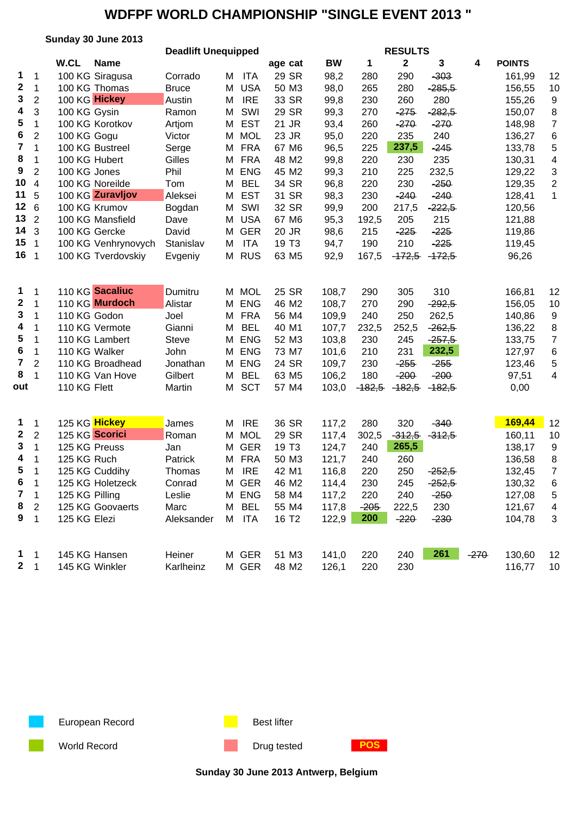|                         |                 | Sunday 30 June 2013             |                            |        |                |                   |                |            | <b>RESULTS</b>  |          |        |               |                |
|-------------------------|-----------------|---------------------------------|----------------------------|--------|----------------|-------------------|----------------|------------|-----------------|----------|--------|---------------|----------------|
|                         |                 |                                 | <b>Deadlift Unequipped</b> |        |                |                   |                |            |                 |          |        |               |                |
|                         |                 | W.CL<br><b>Name</b>             |                            |        |                | age cat           | <b>BW</b>      | 1          | $\mathbf 2$     | 3        | 4      | <b>POINTS</b> |                |
| 1                       | 1               | 100 KG Siragusa                 | Corrado                    | М      | <b>ITA</b>     | 29 SR             | 98,2           | 280        | 290             | $-303$   |        | 161,99        | 12             |
| $\boldsymbol{2}$        | $\mathbf 1$     | 100 KG Thomas                   | <b>Bruce</b>               | Μ      | <b>USA</b>     | 50 M3             | 98,0           | 265        | 280             | $-285,5$ |        | 156,55        | 10             |
| 3                       | $\overline{2}$  | 100 KG Hickey                   | Austin                     | M      | <b>IRE</b>     | 33 SR             | 99,8           | 230        | 260             | 280      |        | 155,26        | 9              |
| 4                       | 3               | 100 KG Gysin                    | Ramon                      | M      | SWI            | 29 SR             | 99,3           | 270        | $-275$          | $-282,5$ |        | 150,07        | 8              |
| 5                       | 1               | 100 KG Korotkov                 | Artjom                     | M      | <b>EST</b>     | 21 JR             | 93,4           | 260        | $-270$          | $-270$   |        | 148,98        | $\overline{7}$ |
| 6                       | 2               | 100 KG Gogu                     | Victor                     | M      | <b>MOL</b>     | 23 JR             | 95,0           | 220        | 235             | 240      |        | 136,27        | 6              |
| $\overline{7}$          | 1               | 100 KG Bustreel                 | Serge                      | M      | <b>FRA</b>     | 67 M6             | 96,5           | 225        | 237,5           | $-245$   |        | 133,78        | 5              |
| 8                       | 1               | 100 KG Hubert                   | Gilles                     |        | M FRA          | 48 M2             | 99,8           | 220        | 230             | 235      |        | 130,31        | 4              |
| $\boldsymbol{9}$        | $\overline{c}$  | 100 KG Jones                    | Phil                       | м      | <b>ENG</b>     | 45 M2             | 99,3           | 210        | 225             | 232,5    |        | 129,22        | 3              |
| 10                      | $\overline{4}$  | 100 KG Noreilde                 | Tom                        | м      | <b>BEL</b>     | 34 SR             | 96,8           | 220        | 230             | $-250$   |        | 129,35        | $\overline{2}$ |
| 11                      | 5               | 100 KG Zuravljov                | Aleksei                    | М      | <b>EST</b>     | 31 SR             | 98,3           | 230        | $-240$          | $-240$   |        | 128,41        | 1              |
| 12 <sub>2</sub>         | $6\phantom{1}6$ | 100 KG Krumov                   | Bogdan                     | М      | SWI            | 32 SR             | 99,9           | 200        | 217,5           | $-222,5$ |        | 120,56        |                |
| 13                      | $\overline{2}$  | 100 KG Mansfield                | Dave                       | M      | <b>USA</b>     | 67 M6             | 95,3           | 192,5      | 205             | 215      |        | 121,88        |                |
| 14                      | 3               | 100 KG Gercke                   | David                      | M      | <b>GER</b>     | 20 JR             | 98,6           | 215        | $-225$          | $-225$   |        | 119,86        |                |
| 15 <sub>1</sub>         |                 | 100 KG Venhrynovych             | Stanislav                  | M      | <b>ITA</b>     | 19 T <sub>3</sub> | 94,7           | 190        | 210             | $-225$   |        | 119,45        |                |
| 16 <sub>1</sub>         |                 | 100 KG Tverdovskiy              | Evgeniy                    | М      | <b>RUS</b>     | 63 M <sub>5</sub> | 92,9           | 167,5      | $-172,5$        | $-172,5$ |        | 96,26         |                |
|                         |                 |                                 |                            |        |                |                   |                |            |                 |          |        |               |                |
| 1                       | 1               | 110 KG Sacaliuc                 | Dumitru                    |        | M MOL          | 25 SR             | 108,7          | 290        | 305             | 310      |        | 166,81        | 12             |
| $\boldsymbol{2}$        | 1               | 110 KG Murdoch                  | Alistar                    | M      | <b>ENG</b>     | 46 M2             | 108,7          | 270        | 290             | $-292,5$ |        | 156,05        | 10             |
| 3                       | 1               | 110 KG Godon                    | Joel                       | M      | <b>FRA</b>     | 56 M4             | 109,9          | 240        | 250             | 262,5    |        | 140,86        | 9              |
| 4                       | 1               | 110 KG Vermote                  | Gianni                     | M      | <b>BEL</b>     | 40 M1             | 107,7          | 232,5      | 252,5           | $-262,5$ |        | 136,22        | 8              |
| 5                       | 1               | 110 KG Lambert                  | <b>Steve</b>               | M      | <b>ENG</b>     | 52 M3             | 103,8          | 230        | 245             | $-257,5$ |        | 133,75        | 7              |
| 6                       | 1               | 110 KG Walker                   | John                       | М      | <b>ENG</b>     | 73 M7             | 101,6          | 210        | 231             | 232,5    |        | 127,97        | 6              |
| $\overline{\mathbf{7}}$ | 2               | 110 KG Broadhead                | Jonathan                   | м      | <b>ENG</b>     | 24 SR             | 109,7          | 230        | $-255$          | $-255$   |        | 123,46        | 5              |
| 8                       | 1               | 110 KG Van Hove                 | Gilbert                    | М      | <b>BEL</b>     | 63 M <sub>5</sub> | 106,2          | 180        | $-200$          | $-200$   |        | 97,51         | 4              |
| out                     |                 | 110 KG Flett                    | Martin                     | Μ      | <b>SCT</b>     | 57 M4             | 103,0          | $-182,5$   | $-182,5$        | $-182,5$ |        | 0,00          |                |
|                         |                 |                                 |                            |        |                |                   |                |            |                 |          |        |               |                |
| $\mathbf{1}$            |                 | 125 KG Hickey                   | James                      | Μ      | <b>IRE</b>     | 36 SR             |                | 280        | 320             | $-340$   |        | 169,44        | 12             |
| $\boldsymbol{2}$        | 1<br>2          | 125 KG Scorici                  | Roman                      |        | <b>MOL</b>     | 29 SR             | 117,2<br>117,4 | 302,5      | $-312,5$        | $-312,5$ |        | 160,11        | 10             |
| 3                       | $\mathbf{1}$    | 125 KG Preuss                   |                            | M<br>М | <b>GER</b>     | 19 T <sub>3</sub> | 124,7          | 240        | 265,5           |          |        | 138,17        | 9              |
| 4                       | 1               | 125 KG Ruch                     | Jan                        | М      | <b>FRA</b>     | 50 M3             | 121,7          | 240        | 260             |          |        | 136,58        | 8              |
| 5                       | $\overline{1}$  | 125 KG Cuddihy                  | Patrick<br>Thomas          |        | M IRE          | 42 M1             | 116,8          | 220        | 250             | $-252,5$ |        | 132,45        | $\overline{7}$ |
| 6                       | 1               | 125 KG Holetzeck                | Conrad                     |        | M GER          | 46 M2             |                | 230        | 245             | $-252,5$ |        | 130,32        |                |
| 7                       | 1               | 125 KG Pilling                  | Leslie                     | М      | <b>ENG</b>     | 58 M4             | 114,4<br>117,2 | 220        | 240             | $-250$   |        | 127,08        | 6<br>5         |
| 8                       |                 | 125 KG Goovaerts                | Marc                       | M      | <b>BEL</b>     | 55 M4             |                | $-205$     |                 | 230      |        | 121,67        |                |
| 9                       | 2               | 125 KG Elezi                    | Aleksander                 | М      | <b>ITA</b>     | 16 T <sub>2</sub> | 117,8<br>122,9 | <b>200</b> | 222,5<br>$-220$ | $-230$   |        | 104,78        | 4              |
|                         | $\mathbf{1}$    |                                 |                            |        |                |                   |                |            |                 |          |        |               | 3              |
|                         |                 |                                 |                            |        |                |                   |                |            |                 | 261      |        |               |                |
| $\mathbf{1}$<br>$2 \t1$ | $\mathbf{1}$    | 145 KG Hansen<br>145 KG Winkler | Heiner                     |        | M GER<br>M GER | 51 M3             | 141,0          | 220        | 240             |          | $-270$ | 130,60        | 12             |
|                         |                 |                                 | Karlheinz                  |        |                | 48 M2             | 126,1          | 220        | 230             |          |        | 116,77        | 10             |



World Record **Drug tested POS** 

**Sunday 30 June 2013 Antwerp, Belgium**